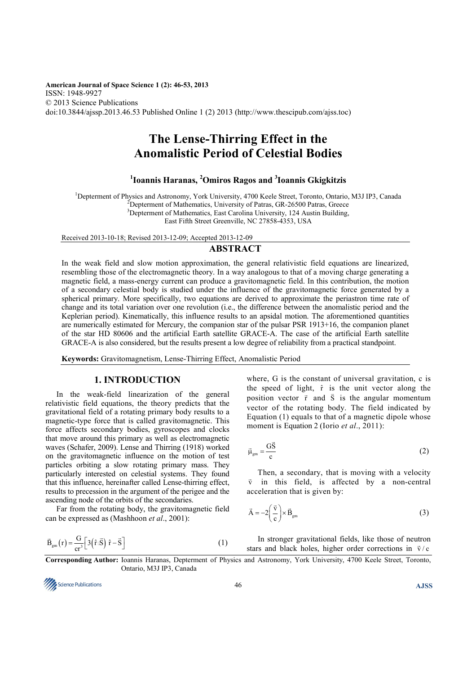**American Journal of Space Science 1 (2): 46-53, 2013**  ISSN: 1948-9927 © 2013 Science Publications doi:10.3844/ajssp.2013.46.53 Published Online 1 (2) 2013 (http://www.thescipub.com/ajss.toc)

# **The Lense-Thirring Effect in the Anomalistic Period of Celestial Bodies**

# **1 Ioannis Haranas, <sup>2</sup>Omiros Ragos and <sup>3</sup> Ioannis Gkigkitzis**

<sup>1</sup>Depterment of Physics and Astronomy, York University, 4700 Keele Street, Toronto, Ontario, M3J IP3, Canada

 $^{2}$ Depterment of Mathematics, University of Patras, GR-26500 Patras, Greece

<sup>3</sup>Depterment of Mathematics, East Carolina University, 124 Austin Building,

East Fifth Street Greenville, NC 27858-4353, USA

Received 2013-10-18; Revised 2013-12-09; Accepted 2013-12-09

#### **ABSTRACT**

In the weak field and slow motion approximation, the general relativistic field equations are linearized, resembling those of the electromagnetic theory. In a way analogous to that of a moving charge generating a magnetic field, a mass-energy current can produce a gravitomagnetic field. In this contribution, the motion of a secondary celestial body is studied under the influence of the gravitomagnetic force generated by a spherical primary. More specifically, two equations are derived to approximate the periastron time rate of change and its total variation over one revolution (i.e., the difference between the anomalistic period and the Keplerian period). Kinematically, this influence results to an apsidal motion. The aforementioned quantities are numerically estimated for Mercury, the companion star of the pulsar PSR 1913+16, the companion planet of the star HD 80606 and the artificial Earth satellite GRACE-A. The case of the artificial Earth satellite GRACE-A is also considered, but the results present a low degree of reliability from a practical standpoint.

**Keywords:** Gravitomagnetism, Lense-Thirring Effect, Anomalistic Period

#### **1. INTRODUCTION**

In the weak-field linearization of the general relativistic field equations, the theory predicts that the gravitational field of a rotating primary body results to a magnetic-type force that is called gravitomagnetic. This force affects secondary bodies, gyroscopes and clocks that move around this primary as well as electromagnetic waves (Schafer, 2009). Lense and Thirring (1918) worked on the gravitomagnetic influence on the motion of test particles orbiting a slow rotating primary mass. They particularly interested on celestial systems. They found that this influence, hereinafter called Lense-thirring effect, results to precession in the argument of the perigee and the ascending node of the orbits of the secondaries.

Far from the rotating body, the gravitomagnetic field can be expressed as (Mashhoon *et al*., 2001):

$$
\vec{B}_{gm}(r) = \frac{G}{cr^3} \left[ 3(\hat{r} \cdot \vec{S}) \hat{r} - \vec{S} \right]
$$
 (1)

where, G is the constant of universal gravitation, c is the speed of light,  $\hat{r}$  is the unit vector along the position vector  $\vec{r}$  and  $\vec{S}$  is the angular momentum vector of the rotating body. The field indicated by Equation (1) equals to that of a magnetic dipole whose moment is Equation 2 (Iorio *et al*., 2011):

$$
\vec{\mu}_{gm} = \frac{G\vec{S}}{c}
$$
 (2)

Then, a secondary, that is moving with a velocity  $\vec{v}$  in this field, is affected by a non-central acceleration that is given by:

$$
\vec{A} = -2\left(\frac{\vec{v}}{c}\right) \times \vec{B}_{gm}
$$
 (3)

In stronger gravitational fields, like those of neutron stars and black holes, higher order corrections in  $\vec{v}/c$ 

**Corresponding Author:** Ioannis Haranas, Depterment of Physics and Astronomy, York University, 4700 Keele Street, Toronto, Ontario, M3J IP3, Canada

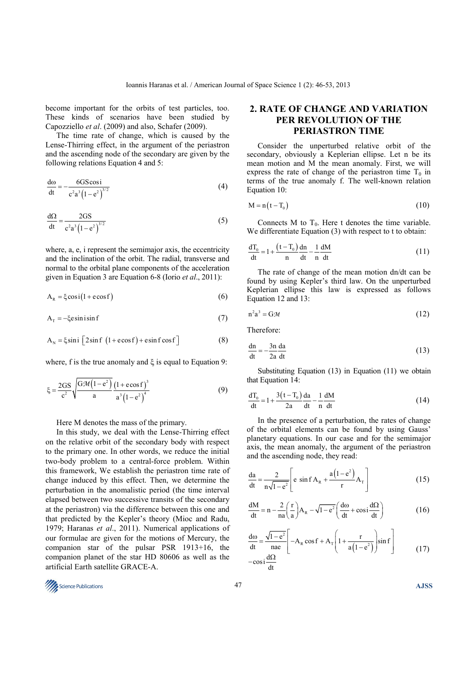become important for the orbits of test particles, too. These kinds of scenarios have been studied by Capozziello *et al*. (2009) and also, Schafer (2009).

The time rate of change, which is caused by the Lense-Thirring effect, in the argument of the periastron and the ascending node of the secondary are given by the following relations Equation 4 and 5:

$$
\frac{d\omega}{dt} = -\frac{6GS\cos i}{c^2 a^3 (1 - e^2)^{3/2}}
$$
 (4)

$$
\frac{d\Omega}{dt} = \frac{2GS}{c^2 a^3 \left(1 - e^2\right)^{3/2}}\tag{5}
$$

where, a, e, i represent the semimajor axis, the eccentricity and the inclination of the orbit. The radial, transverse and normal to the orbital plane components of the acceleration given in Equation 3 are Equation 6-8 (Iorio *et al*., 2011):

$$
A_R = \xi \cos i (1 + e \cos f) \tag{6}
$$

$$
A_T = -\xi \operatorname{esin} i \sin f \tag{7}
$$

$$
A_N = \xi \sin i \left[ 2 \sin f \left( 1 + \cos f \right) + \sin f \cos f \right]
$$
 (8)

where, f is the true anomaly and  $\xi$  is equal to Equation 9:

$$
\xi = \frac{2GS}{c^2} \sqrt{\frac{GM(1-e^2)}{a} \frac{(1+ecosf)^3}{a^3(1-e^2)^4}}
$$
(9)

Here M denotes the mass of the primary.

In this study, we deal with the Lense-Thirring effect on the relative orbit of the secondary body with respect to the primary one. In other words, we reduce the initial two-body problem to a central-force problem. Within this framework, We establish the periastron time rate of change induced by this effect. Then, we determine the perturbation in the anomalistic period (the time interval elapsed between two successive transits of the secondary at the periastron) via the difference between this one and that predicted by the Kepler's theory (Mioc and Radu, 1979; Haranas *et al*., 2011). Numerical applications of our formulae are given for the motions of Mercury, the companion star of the pulsar PSR 1913+16, the companion planet of the star HD 80606 as well as the artificial Earth satellite GRACE-A.



# **2. RATE OF CHANGE AND VARIATION PER REVOLUTION OF THE PERIASTRON TIME**

Consider the unperturbed relative orbit of the secondary, obviously a Keplerian ellipse. Let n be its mean motion and M the mean anomaly. First, we will express the rate of change of the periastron time  $T_0$  in terms of the true anomaly f. The well-known relation Equation 10:

$$
M = n(t - T_0) \tag{10}
$$

Connects M to  $T_0$ . Here t denotes the time variable. We differentiate Equation (3) with respect to t to obtain:

$$
\frac{dT_0}{dt} = 1 + \frac{(t - T_0)}{n} \frac{dn}{dt} - \frac{1}{n} \frac{dM}{dt}
$$
 (11)

The rate of change of the mean motion dn/dt can be found by using Kepler's third law. On the unperturbed Keplerian ellipse this law is expressed as follows Equation 12 and 13:

$$
n^2 a^3 = G \mathcal{M} \tag{12}
$$

Therefore:

$$
\frac{dn}{dt} = -\frac{3n}{2a} \frac{da}{dt}
$$
 (13)

Substituting Equation (13) in Equation (11) we obtain that Equation 14:

$$
\frac{dT_0}{dt} = 1 + \frac{3(t - T_0)}{2a} \frac{da}{dt} - \frac{1}{n} \frac{dM}{dt}
$$
 (14)

In the presence of a perturbation, the rates of change of the orbital elements can be found by using Gauss' planetary equations. In our case and for the semimajor axis, the mean anomaly, the argument of the periastron and the ascending node, they read:

$$
\frac{\mathrm{da}}{\mathrm{dt}} = \frac{2}{n\sqrt{1 - e^2}} \left[ e \sin f A_R + \frac{a(1 - e^2)}{r} A_T \right] \tag{15}
$$

$$
\frac{dM}{dt} = n - \frac{2}{na} \left(\frac{r}{a}\right) A_R - \sqrt{1 - e^2} \left(\frac{d\omega}{dt} + \cos i \frac{d\Omega}{dt}\right)
$$
(16)

$$
\frac{d\omega}{dt} = \frac{\sqrt{1 - e^2}}{\text{nae}} \left[ -A_R \cos f + A_T \left( 1 + \frac{r}{a(1 - e^2)} \right) \sin f \right]
$$
\n
$$
- \cos i \frac{d\Omega}{dt}
$$
\n(17)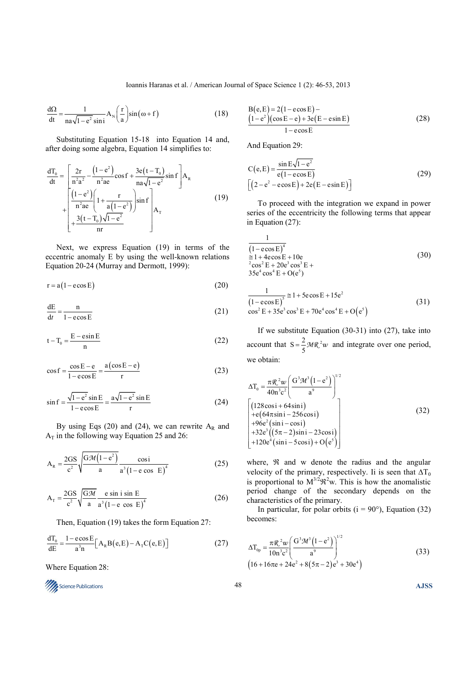$$
\frac{d\Omega}{dt} = \frac{1}{na\sqrt{1 - e^2}\sin i} A_{N} \left(\frac{r}{a}\right) \sin(\omega + f)
$$
 (18)

Substituting Equation 15-18 into Equation 14 and, after doing some algebra, Equation 14 simplifies to:

$$
\frac{dT_0}{dt} = \left[ \frac{2r}{n^2 a^2} - \frac{(1 - e^2)}{n^2 a e} \cos f + \frac{3e(t - T_0)}{na\sqrt{1 - e^2}} \sin f \right] A_R
$$
\n
$$
+ \left[ \frac{(1 - e^2)}{n^2 a e} \left( 1 + \frac{r}{a(1 - e^2)} \right) \sin f \right] A_T
$$
\n
$$
+ \frac{3(t - T_0)\sqrt{1 - e^2}}{nr} \right]
$$
\n(19)

Next, we express Equation (19) in terms of the eccentric anomaly E by using the well-known relations Equation 20-24 (Murray and Dermott, 1999):

$$
r = a(1 - e \cos E) \tag{20}
$$

$$
\frac{dE}{dt} = \frac{n}{1 - e \cos E} \tag{21}
$$

$$
t - T_0 = \frac{E - \sin E}{n}
$$
 (22)

$$
\cos f = \frac{\cos E - e}{1 - e \cos E} = \frac{a(\cos E - e)}{r}
$$
 (23)

$$
\sin f = \frac{\sqrt{1 - e^2} \sin E}{1 - e \cos E} = \frac{a\sqrt{1 - e^2} \sin E}{r}
$$
 (24)

By using Eqs (20) and (24), we can rewrite  $A_R$  and  $A_T$  in the following way Equation 25 and 26:

$$
A_R = \frac{2GS}{c^2} \sqrt{\frac{GM(1-e^2)}{a}} \frac{\cos i}{a^3 (1-e \cos E)^4}
$$
(25)

$$
A_{\rm T} = \frac{2GS}{c^2} \sqrt{\frac{GM}{a}} \frac{e \sin i \sin E}{a^3 (1 - e \cos E)^4}
$$
 (26)

Then, Equation (19) takes the form Equation 27:

$$
\frac{dT_0}{dE} = \frac{1 - e \cos E}{a^3 n} \Big[ A_R B(e, E) - A_T C(e, E) \Big]
$$
 (27)

Where Equation 28:



$$
B(e, E) = 2(1 - e \cos E) -
$$
  
\n
$$
\frac{(1 - e^2)(\cos E - e) + 3e(E - e \sin E)}{1 - e \cos E}
$$
 (28)

And Equation 29:

1

$$
C(e, E) = \frac{\sin E\sqrt{1 - e^2}}{e(1 - e\cos E)}
$$
  
\n
$$
[(2 - e^2 - e\cos E) + 2e(E - e\sin E)]
$$
 (29)

To proceed with the integration we expand in power series of the eccentricity the following terms that appear in Equation (27):

$$
\frac{1}{(1 - \cos E)^4}
$$
\n
$$
\approx 1 + 4\cos E + 10e
$$
\n
$$
e^{2} \cos^{2} E + 20e^{3} \cos^{3} E + 35e^{4} \cos^{4} E + O(e^{5})
$$
\n(30)

$$
\frac{1}{(1 - e \cos E)^{5}} \approx 1 + 5e \cos E + 15e^{2}
$$
\n
$$
\cos^{2} E + 35e^{3} \cos^{3} E + 70e^{4} \cos^{4} E + O(e^{5})
$$
\n(31)

If we substitute Equation (30-31) into (27), take into account that  $S = \frac{2}{5}MR^2w$  and integrate over one period, we obtain:

$$
\Delta T_0 = \frac{\pi \mathcal{R}^2 w}{40n^3 c^2} \left( \frac{G^3 \mathcal{M}^3 (1 - e^2)}{a^9} \right)^{1/2}
$$
  
\n
$$
\left[ (128 \cos i + 64 \sin i) + (64 \pi \sin i - 256 \cos i) + 96e^2 (\sin i - \cos i) + 32e^3 ((5\pi - 2) \sin i - 23 \cos i) + 120e^4 (\sin i - 5 \cos i) + O(e^5) \right]
$$
\n(32)

where,  $\Re$  and w denote the radius and the angular velocity of the primary, respectively. Ii is seen that  $\Delta T_0$ is proportional to  $M^{3/2} \mathcal{R}^2$  w. This is how the anomalistic period change of the secondary depends on the characteristics of the primary.

In particular, for polar orbits ( $i = 90^{\circ}$ ), Equation (32) becomes:

$$
\Delta T_{0p} = \frac{\pi \mathcal{R}^2 w}{10 n^3 c^2} \left( \frac{G^3 \mathcal{M}^3 (1 - e^2)}{a^9} \right)^{1/2}
$$
  
(16 + 16 $\pi$ e + 24e^2 + 8(5 $\pi$  - 2)e^3 + 30e^4) (33)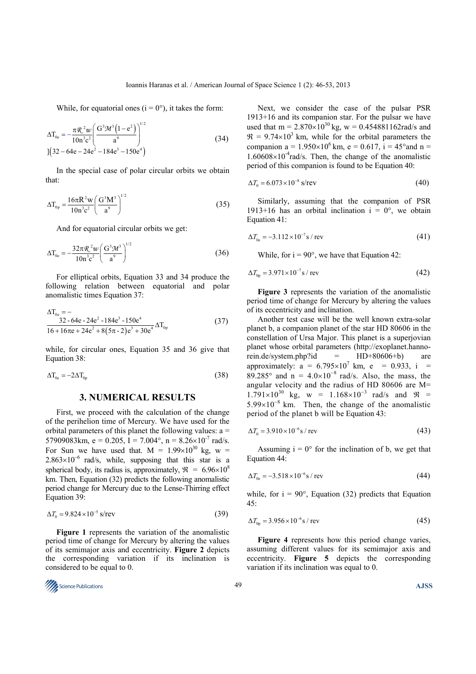While, for equatorial ones  $(i = 0^{\circ})$ , it takes the form:

$$
\Delta T_{0e} = -\frac{\pi \mathcal{R}^2 w}{10 n^3 c^2} \left( \frac{G^3 \mathcal{M}^3 (1 - e^2)}{a^9} \right)^{1/2}
$$
  
1(32 - 64e - 24e<sup>2</sup> - 184e<sup>3</sup> - 150e<sup>4</sup>) (34)

In the special case of polar circular orbits we obtain that:

$$
\Delta T_{0p} = \frac{16\pi R^2 w}{10n^3c^2} \left(\frac{G^3M^3}{a^9}\right)^{1/2}
$$
 (35)

And for equatorial circular orbits we get:

$$
\Delta T_{0e} = -\frac{32\pi \mathcal{R}^2 w}{10n^3 c^2} \left(\frac{G^3 \mathcal{M}^3}{a^9}\right)^{1/2} \tag{36}
$$

For elliptical orbits, Equation 33 and 34 produce the following relation between equatorial and polar anomalistic times Equation 37:

$$
\Delta T_{0e} = -
$$
\n
$$
\frac{32 - 64e - 24e^2 - 184e^3 - 150e^4}{16 + 16\pi e + 24e^2 + 8(5\pi - 2)e^3 + 30e^4} \Delta T_{0p}
$$
\n(37)

while, for circular ones, Equation 35 and 36 give that Equation 38:

$$
\Delta T_{0e} = -2\Delta T_{0p} \tag{38}
$$

### **3. NUMERICAL RESULTS**

First, we proceed with the calculation of the change of the perihelion time of Mercury. We have used for the orbital parameters of this planet the following values:  $a =$ 57909083km, e = 0.205, I = 7.004°, n =  $8.26 \times 10^{-7}$  rad/s. For Sun we have used that.  $M = 1.99 \times 10^{30}$  kg, w =  $2.863\times10^{-6}$  rad/s, while, supposing that this star is a spherical body, its radius is, approximately,  $\mathcal{R} = 6.96 \times 10^8$ km. Τhen, Equation (32) predicts the following anomalistic period change for Mercury due to the Lense-Thirring effect Equation 39:

$$
\Delta T_0 = 9.824 \times 10^{-5} \text{ s/rev}
$$
\n
$$
(39)
$$

**Figure 1** represents the variation of the anomalistic period time of change for Mercury by altering the values of its semimajor axis and eccentricity. **Figure 2** depicts the corresponding variation if its inclination is considered to be equal to 0.



Next, we consider the case of the pulsar PSR 1913+16 and its companion star. For the pulsar we have used that  $m = 2.870 \times 10^{30}$  kg,  $w = 0.454881162$  rad/s and  $\mathfrak{R} = 9.74 \times 10^3$  km, while for the orbital parameters the companion a =  $1.950 \times 10^6$  km, e = 0.617, i = 45° and n =  $1.60608\times10^{-4}$ rad/s. Then, the change of the anomalistic period of this companion is found to be Equation 40:

$$
\Delta T_0 = 6.073 \times 10^{-8} \text{ s/rev}
$$
 (40)

Similarly, assuming that the companion of PSR 1913+16 has an orbital inclination  $i = 0^\circ$ , we obtain Equation 41:

$$
\Delta T_{0e} = -3.112 \times 10^{-7} \,\text{s} / \,\text{rev} \tag{41}
$$

While, for  $i = 90^{\circ}$ , we have that Equation 42:

$$
\Delta T_{\text{op}} = 3.971 \times 10^{-7} \text{s} / \text{rev}
$$
 (42)

**Figure 3** represents the variation of the anomalistic period time of change for Mercury by altering the values of its eccentricity and inclination.

Another test case will be the well known extra-solar planet b, a companion planet of the star HD 80606 in the constellation of Ursa Major. This planet is a superjovian planet whose orbital parameters (http://exoplanet.hannorein.de/system.php?id = HD+80606+b) are approximately:  $a = 6.795 \times 10^7$  km,  $e = 0.933$ ,  $i =$ 89.285° and  $n = 4.0 \times 10^{-8}$  rad/s. Also, the mass, the angular velocity and the radius of HD 80606 are M=  $1.791 \times 10^{30}$  kg, w =  $1.168 \times 10^{-3}$  rad/s and  $\Re$  =  $5.99\times10^{-8}$  km. Then, the change of the anomalistic period of the planet b will be Equation 43:

$$
\Delta T_0 = 3.910 \times 10^{-6} \text{s} / \text{rev}
$$
 (43)

Assuming  $i = 0^{\circ}$  for the inclination of b, we get that Equation 44:

$$
\Delta T_{0e} = -3.518 \times 10^{-6} \, \text{s} / \, \text{rev}
$$
\n(44)

while, for  $i = 90^\circ$ , Equation (32) predicts that Equation 45:

$$
\Delta T_{\text{op}} = 3.956 \times 10^{-6} \text{s / rev}
$$
 (45)

**Figure 4** represents how this period change varies, assuming different values for its semimajor axis and eccentricity. **Figure 5** depicts the corresponding variation if its inclination was equal to 0.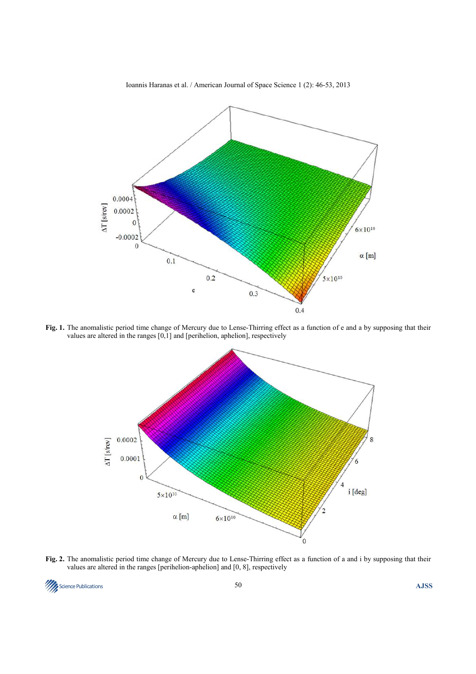

**Fig. 1.** The anomalistic period time change of Mercury due to Lense-Thirring effect as a function of e and a by supposing that their values are altered in the ranges [0,1] and [perihelion, aphelion], respectively



**Fig. 2.** The anomalistic period time change of Mercury due to Lense-Thirring effect as a function of a and i by supposing that their values are altered in the ranges [perihelion-aphelion] and [0, 8], respectively

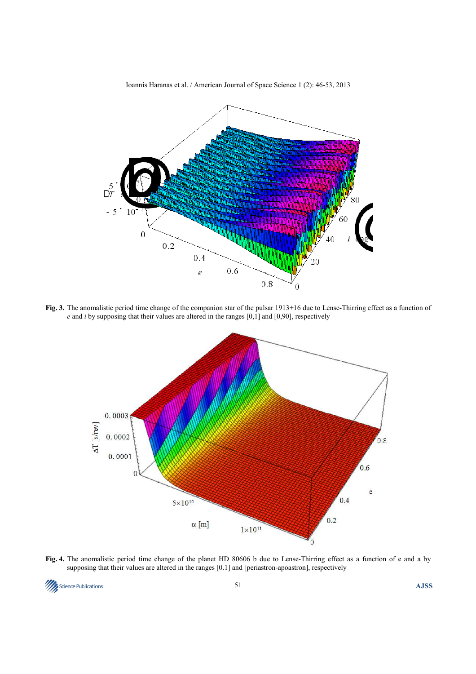

**Fig. 3.** The anomalistic period time change of the companion star of the pulsar 1913+16 due to Lense-Thirring effect as a function of *e* and *i* by supposing that their values are altered in the ranges [0,1] and [0,90], respectively



**Fig. 4.** The anomalistic period time change of the planet HD 80606 b due to Lense-Thirring effect as a function of e and a by supposing that their values are altered in the ranges [0.1] and [periastron-apoastron], respectively

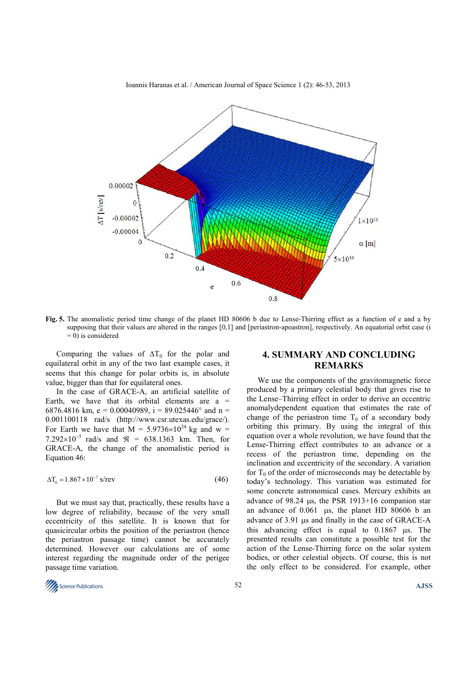

**Fig. 5.** The anomalistic period time change of the planet HD 80606 b due to Lense-Thirring effect as a function of e and a by supposing that their values are altered in the ranges [0,1] and [periastron-apoastron], respectively. An equatorial orbit case (i  $= 0$ ) is considered

Comparing the values of  $\Delta T_0$  for the polar and equilateral orbit in any of the two last example cases, it seems that this change for polar orbits is, in absolute value, bigger than that for equilateral ones.

In the case of GRACE-A, an artificial satellite of Earth, we have that its orbital elements are  $a =$ 6876.4816 km, e = 0.00040989, i = 89.025446° and n = 0.001100118 rad/s (http://www.csr.utexas.edu/grace/). For Earth we have that  $M = 5.9736 \times 10^{24}$  kg and w = 7.292×10<sup>-5</sup> rad/s and  $\Re$  = 638.1363 km. Then, for GRACE-A, the change of the anomalistic period is Equation 46:

$$
\Delta T_0 = 1.867 \times 10^{-7} \text{ s/rev}
$$
\n
$$
(46)
$$

But we must say that, practically, these results have a low degree of reliability, because of the very small eccentricity of this satellite. It is known that for quasicircular orbits the position of the periastron (hence the periastron passage time) cannot be accurately determined. However our calculations are of some interest regarding the magnitude order of the perigee passage time variation.

## **4. SUMMARY AND CONCLUDING REMARKS**

We use the components of the gravitomagnetic force produced by a primary celestial body that gives rise to the Lense–Thirring effect in order to derive an eccentric anomalydependent equation that estimates the rate of change of the periastron time  $T_0$  of a secondary body orbiting this primary. By using the integral of this equation over a whole revolution, we have found that the Lense-Thirring effect contributes to an advance or a recess of the periastron time, depending on the inclination and eccentricity of the secondary. A variation for  $T_0$  of the order of microseconds may be detectable by today's technology. This variation was estimated for some concrete astronomical cases. Mercury exhibits an advance of 98.24 µs, the PSR 1913+16 companion star an advance of 0.061 µs, the planet HD 80606 b an advance of 3.91 µs and finally in the case of GRACE-A this advancing effect is equal to 0.1867 µs. The presented results can constitute a possible test for the action of the Lense-Thirring force on the solar system bodies, or other celestial objects. Of course, this is not the only effect to be considered. For example, other